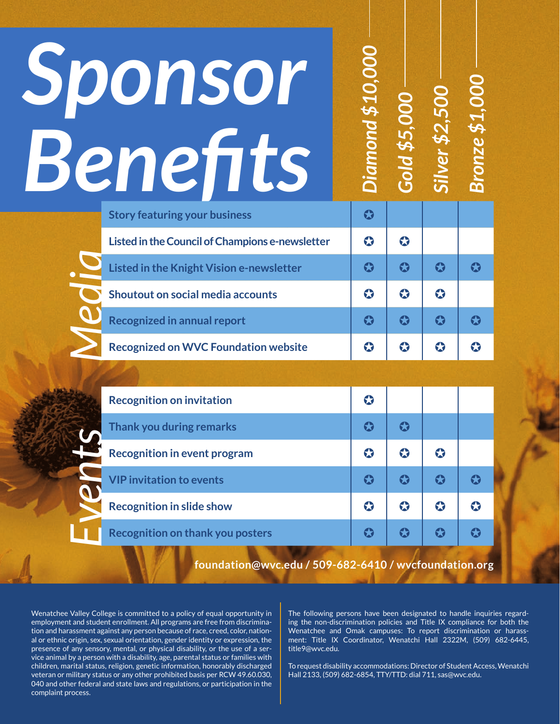| Sponsor<br>Benefits                                   | <b>Diamond \$10,000</b> | <b>Gold \$5,000</b>   | Silver \$2,500        | <b>Bronze \$1,000</b> |
|-------------------------------------------------------|-------------------------|-----------------------|-----------------------|-----------------------|
| <b>Story featuring your business</b>                  | $\boldsymbol{\Omega}$   |                       |                       |                       |
| Listed in the Council of Champions e-newsletter       | $\bullet$               | $\bullet$             |                       |                       |
| Listed in the Knight Vision e-newsletter              | $\boldsymbol{\Omega}$   | $\bf G$               | $\boldsymbol{\Omega}$ | $\boldsymbol{\Omega}$ |
| <b>Shoutout on social media accounts</b>              | $\bullet$               | $\bullet$             | $\bullet$             |                       |
| <b>Recognized in annual report</b>                    | $\boldsymbol{\Omega}$   | $\boldsymbol{\Omega}$ | $\boldsymbol{\Omega}$ | $\boldsymbol{\Omega}$ |
| <b>Recognized on WVC Foundation website</b>           | $\bullet$               | $\bullet$             | $\bullet$             | $\bullet$             |
|                                                       |                         |                       |                       |                       |
| <b>Recognition on invitation</b>                      | $\bullet$               |                       |                       |                       |
| Thank you during remarks                              | $\bullet$               | $\bullet$             |                       |                       |
| <b>Recognition in event program</b>                   | $\bullet$               | $\bullet$             | $\bullet$             |                       |
| <b>VIP invitation to events</b>                       | $\boldsymbol{\Omega}$   | $\boldsymbol{\Omega}$ | $\boldsymbol{\Omega}$ | $\bullet$             |
| <b>Recognition in slide show</b>                      | $\bullet$               | $\bullet$             | $\bullet$             | $\bullet$             |
| Recognition on thank you posters                      | $\boldsymbol{\Omega}$   | $\bf G$               | $\boldsymbol{\Omega}$ | $\bf G$               |
| foundation@wvc.edu / 509-682-6410 / wvcfoundation.org |                         |                       |                       |                       |

Wenatchee Valley College is committed to a policy of equal opportunity in employment and student enrollment. All programs are free from discrimination and harassment against any person because of race, creed, color, national or ethnic origin, sex, sexual orientation, gender identity or expression, the presence of any sensory, mental, or physical disability, or the use of a service animal by a person with a disability, age, parental status or families with children, marital status, religion, genetic information, honorably discharged veteran or military status or any other prohibited basis per RCW 49.60.030, 040 and other federal and state laws and regulations, or participation in the complaint process.

The following persons have been designated to handle inquiries regarding the non-discrimination policies and Title IX compliance for both the Wenatchee and Omak campuses: To report discrimination or harassment: Title IX Coordinator, Wenatchi Hall 2322M, (509) 682-6445, title9@wvc.edu.

To request disability accommodations: Director of Student Access, Wenatchi Hall 2133, (509) 682-6854, TTY/TTD: dial 711, sas@wvc.edu.